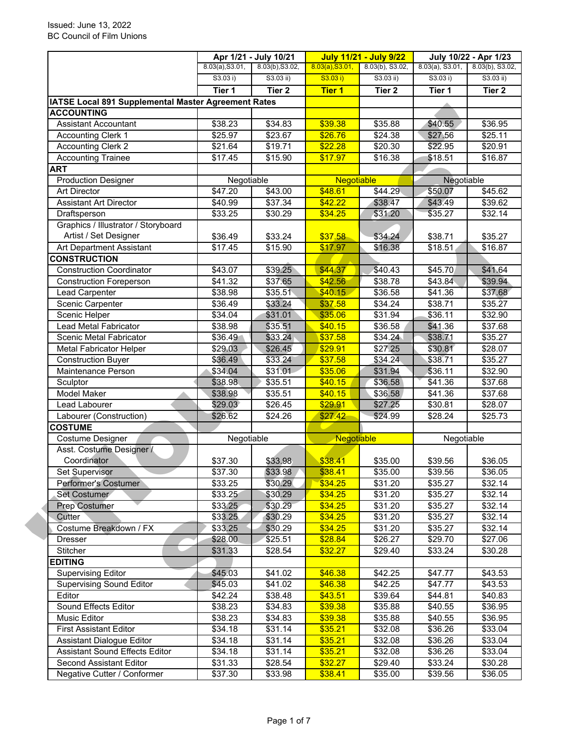|                                                     | Apr 1/21 - July 10/21 |                   | <b>July 11/21 - July 9/22</b> |                   | July 10/22 - Apr 1/23 |                   |  |
|-----------------------------------------------------|-----------------------|-------------------|-------------------------------|-------------------|-----------------------|-------------------|--|
|                                                     | 8.03(a), S3.01,       | 8.03(b), S3.02,   | 8.03(a), S3.01,               | 8.03(b), S3.02,   | $8.03(a)$ , S3.01,    | 8.03(b), S3.02,   |  |
|                                                     | S3.03 i)              | S3.03 ii)         | S3.03 i)                      | S3.03 ii)         | S3.03 i)              | $S3.03$ ii)       |  |
|                                                     | Tier 1                | Tier <sub>2</sub> | <b>Tier 1</b>                 | Tier <sub>2</sub> | Tier 1                | Tier <sub>2</sub> |  |
| IATSE Local 891 Supplemental Master Agreement Rates |                       |                   |                               |                   |                       |                   |  |
| <b>ACCOUNTING</b>                                   |                       |                   |                               |                   |                       |                   |  |
| <b>Assistant Accountant</b>                         | \$38.23               | \$34.83           | \$39.38                       | \$35.88           | \$40.55               | \$36.95           |  |
| <b>Accounting Clerk 1</b>                           | \$25.97               | \$23.67           | \$26.76                       | \$24.38           | \$27.56               | \$25.11           |  |
| <b>Accounting Clerk 2</b>                           | \$21.64               | \$19.71           | \$22.28                       | \$20.30           | \$22.95               | \$20.91           |  |
| <b>Accounting Trainee</b>                           | \$17.45               | \$15.90           | \$17.97                       | \$16.38           | \$18.51               | \$16.87           |  |
| <b>ART</b>                                          |                       |                   |                               |                   |                       |                   |  |
| <b>Production Designer</b>                          | Negotiable            |                   | Negotiable                    |                   | Negotiable            |                   |  |
| <b>Art Director</b>                                 | \$47.20               | \$43.00           | \$48.61                       | \$44.29           | \$50.07               | \$45.62           |  |
| <b>Assistant Art Director</b>                       | \$40.99               | \$37.34           | \$42.22                       | \$38.47           | \$43.49               | \$39.62           |  |
| Draftsperson                                        | \$33.25               | \$30.29           | \$34.25                       | \$31.20           | \$35.27               | \$32.14           |  |
| Graphics / Illustrator / Storyboard                 |                       |                   |                               |                   |                       |                   |  |
| Artist / Set Designer                               | \$36.49               | \$33.24           | \$37.58                       | \$34.24           | \$38.71               | \$35.27           |  |
| Art Department Assistant                            | \$17.45               | \$15.90           | \$17.97                       | \$16.38           | \$18.51               | \$16.87           |  |
| <b>CONSTRUCTION</b>                                 |                       |                   |                               |                   |                       |                   |  |
| <b>Construction Coordinator</b>                     | \$43.07               | \$39.25           | \$44.37                       | \$40.43           | \$45.70               | \$41.64           |  |
| <b>Construction Foreperson</b>                      | \$41.32               | \$37.65           | \$42.56                       | \$38.78           | \$43.84               | \$39.94           |  |
| Lead Carpenter                                      | \$38.98               | \$35.51           | \$40.15                       | \$36.58           | \$41.36               | \$37.68           |  |
| Scenic Carpenter                                    | \$36.49               | \$33.24           | \$37.58                       | \$34.24           | $\overline{$}38.71$   | \$35.27           |  |
| Scenic Helper                                       | \$34.04               | \$31.01           | \$35.06                       | \$31.94           | \$36.11               | \$32.90           |  |
| Lead Metal Fabricator                               | \$38.98               | \$35.51           | \$40.15                       | \$36.58           | \$41.36               | \$37.68           |  |
| Scenic Metal Fabricator                             | \$36.49               | \$33.24           | \$37.58                       | \$34.24           | \$38.71               | \$35.27           |  |
| <b>Metal Fabricator Helper</b>                      | \$29.03               | \$26.45           | \$29.91                       | \$27.25           | \$30.81               | \$28.07           |  |
| <b>Construction Buyer</b>                           | \$36.49               | \$33.24           | \$37.58                       | \$34.24           | \$38.71               | \$35.27           |  |
| Maintenance Person                                  | \$34.04               | \$31.01           | \$35.06                       | \$31.94           | \$36.11               | \$32.90           |  |
| Sculptor                                            | \$38.98               | \$35.51           | \$40.15                       | \$36.58           | \$41.36               | \$37.68           |  |
| <b>Model Maker</b>                                  | \$38.98               | \$35.51           | \$40.15                       | \$36.58           | \$41.36               | \$37.68           |  |
| Lead Labourer                                       | \$29.03               | \$26.45           | \$29.91                       | \$27.25           | \$30.81               | \$28.07           |  |
| Labourer (Construction)                             | \$26.62               | \$24.26           | \$27.42                       | \$24.99           | \$28.24               | \$25.73           |  |
| <b>COSTUME</b>                                      |                       |                   |                               |                   |                       |                   |  |
| Costume Designer                                    | Negotiable            |                   | Negotiable                    |                   |                       | Negotiable        |  |
| Asst. Costume Designer /                            |                       |                   |                               |                   |                       |                   |  |
| Coordinator                                         | \$37.30               | \$33.98           | \$38.41                       | \$35.00           | \$39.56               | \$36.05           |  |
| <b>Set Supervisor</b>                               | $\overline{$}37.30$   | \$33.98           | \$38.41                       | \$35.00           | \$39.56               | \$36.05           |  |
| Performer's Costumer                                | \$33.25               | \$30.29           | \$34.25                       | \$31.20           | \$35.27               | \$32.14           |  |
| Set Costumer                                        | \$33.25               | \$30.29           | \$34.25                       | \$31.20           | \$35.27               | \$32.14           |  |
| <b>Prep Costumer</b>                                | \$33.25               | \$30.29           | \$34.25                       | \$31.20           | \$35.27               | \$32.14           |  |
| Cutter                                              | \$33.25               | \$30.29           | \$34.25                       | \$31.20           | \$35.27               | \$32.14           |  |
| Costume Breakdown / FX                              | \$33.25               | \$30.29           | \$34.25                       | \$31.20           | \$35.27               | \$32.14           |  |
| <b>Dresser</b>                                      | \$28.00               | \$25.51           | \$28.84                       | \$26.27           | \$29.70               | \$27.06           |  |
| Stitcher                                            | \$31.33               | \$28.54           | \$32.27                       | \$29.40           | \$33.24               | \$30.28           |  |
| <b>EDITING</b>                                      |                       |                   |                               |                   |                       |                   |  |
| <b>Supervising Editor</b>                           | \$45.03               | \$41.02           | \$46.38                       | \$42.25           | \$47.77               | \$43.53           |  |
| <b>Supervising Sound Editor</b>                     | \$45.03               | \$41.02           | \$46.38                       | \$42.25           | \$47.77               | \$43.53           |  |
| Editor                                              | \$42.24               | \$38.48           | \$43.51                       | \$39.64           |                       |                   |  |
| Sound Effects Editor                                | \$38.23               | \$34.83           | \$39.38                       | \$35.88           | \$44.81<br>\$40.55    | \$40.83           |  |
|                                                     | \$38.23               |                   |                               |                   |                       | \$36.95           |  |
| Music Editor<br><b>First Assistant Editor</b>       |                       | \$34.83           | \$39.38                       | \$35.88           | \$40.55               | \$36.95           |  |
|                                                     | \$34.18               | \$31.14           | \$35.21                       | \$32.08           | \$36.26               | \$33.04           |  |
| <b>Assistant Dialogue Editor</b>                    | \$34.18               | \$31.14           | \$35.21                       | \$32.08           | \$36.26               | \$33.04           |  |
| <b>Assistant Sound Effects Editor</b>               | \$34.18               | \$31.14           | \$35.21                       | \$32.08           | \$36.26               | \$33.04           |  |
| <b>Second Assistant Editor</b>                      | \$31.33               | \$28.54           | \$32.27                       | \$29.40           | \$33.24               | \$30.28           |  |
| Negative Cutter / Conformer                         | \$37.30               | \$33.98           | \$38.41                       | \$35.00           | \$39.56               | \$36.05           |  |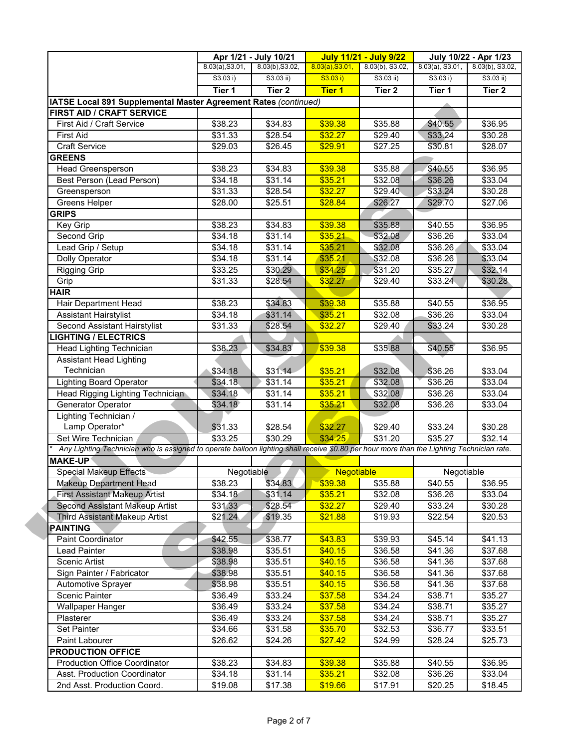|                                                                                                                                           |                 | Apr 1/21 - July 10/21 |                   | <b>July 11/21 - July 9/22</b> |                                       | July 10/22 - Apr 1/23 |  |
|-------------------------------------------------------------------------------------------------------------------------------------------|-----------------|-----------------------|-------------------|-------------------------------|---------------------------------------|-----------------------|--|
|                                                                                                                                           | 8.03(a), S3.01, | 8.03(b), S3.02,       | 8.03(a), S3.01,   | 8.03(b), S3.02,               | $8.03(a)$ , S3.01, $8.03(b)$ , S3.02, |                       |  |
|                                                                                                                                           | S3.03 i)        | $S3.03$ ii)           | S3.03 i)          | S3.03 ii)                     | S3.03 i)                              | $S3.03$ ii)           |  |
|                                                                                                                                           | Tier 1          | Tier 2                | <b>Tier 1</b>     | Tier 2                        | Tier 1                                | Tier 2                |  |
| IATSE Local 891 Supplemental Master Agreement Rates (continued)                                                                           |                 |                       |                   |                               |                                       |                       |  |
| FIRST AID / CRAFT SERVICE                                                                                                                 |                 |                       |                   |                               |                                       |                       |  |
| First Aid / Craft Service                                                                                                                 | \$38.23         | \$34.83               | \$39.38           | \$35.88                       | \$40.55                               | \$36.95               |  |
| <b>First Aid</b>                                                                                                                          | \$31.33         | \$28.54               | \$32.27           | \$29.40                       | \$33.24                               | \$30.28               |  |
| <b>Craft Service</b>                                                                                                                      | \$29.03         | \$26.45               | \$29.91           | \$27.25                       | \$30.81                               | \$28.07               |  |
| <b>GREENS</b>                                                                                                                             |                 |                       |                   |                               |                                       |                       |  |
| <b>Head Greensperson</b>                                                                                                                  | \$38.23         | \$34.83               | \$39.38           | \$35.88                       | \$40.55                               | \$36.95               |  |
| Best Person (Lead Person)                                                                                                                 | \$34.18         | \$31.14               | \$35.21           | \$32.08                       | \$36.26                               | \$33.04               |  |
| Greensperson                                                                                                                              | \$31.33         | \$28.54               | \$32.27           | \$29.40                       | \$33.24                               | \$30.28               |  |
| Greens Helper                                                                                                                             | \$28.00         | \$25.51               | \$28.84           | \$26.27                       | \$29.70                               | \$27.06               |  |
| <b>GRIPS</b>                                                                                                                              |                 |                       |                   |                               |                                       |                       |  |
| Key Grip                                                                                                                                  | \$38.23         | \$34.83               | \$39.38           | \$35.88                       | \$40.55                               | 36.95                 |  |
| Second Grip                                                                                                                               | \$34.18         | \$31.14               | \$35.21           | \$32.08                       | \$36.26                               | \$33.04               |  |
| Lead Grip / Setup                                                                                                                         | \$34.18         | \$31.14               | \$35.21           | \$32.08                       | \$36.26                               | \$33.04               |  |
| Dolly Operator                                                                                                                            | \$34.18         | \$31.14               | \$35.21           | \$32.08                       | $\overline{$}36.26$                   | \$33.04               |  |
| <b>Rigging Grip</b>                                                                                                                       | \$33.25         | \$30.29               | \$34.25           | \$31.20                       | \$35.27                               | \$32.14               |  |
| Grip                                                                                                                                      | \$31.33         | \$28.54               | \$32.27           | \$29.40                       | \$33.24                               | \$30.28               |  |
| <b>HAIR</b>                                                                                                                               |                 |                       |                   |                               |                                       |                       |  |
| Hair Department Head                                                                                                                      | \$38.23         | \$34.83               | \$39.38           | \$35.88                       | \$40.55                               | \$36.95               |  |
| <b>Assistant Hairstylist</b>                                                                                                              | \$34.18         | \$31.14               | \$35.21           | \$32.08                       | \$36.26                               | \$33.04               |  |
| Second Assistant Hairstylist                                                                                                              | \$31.33         | \$28.54               | \$32.27           | \$29.40                       | \$33.24                               | \$30.28               |  |
|                                                                                                                                           |                 |                       |                   |                               |                                       |                       |  |
| <b>LIGHTING / ELECTRICS</b>                                                                                                               |                 |                       |                   |                               |                                       |                       |  |
| Head Lighting Technician                                                                                                                  | \$38.23         | \$34.83               | \$39.38           | \$35.88                       | \$40.55                               | \$36.95               |  |
| <b>Assistant Head Lighting</b>                                                                                                            |                 |                       |                   |                               |                                       |                       |  |
| Technician                                                                                                                                | \$34.18         | \$31.14               | \$35.21           | \$32.08                       | \$36.26                               | \$33.04               |  |
| <b>Lighting Board Operator</b>                                                                                                            | \$34.18         | \$31.14               | \$35.21           | \$32.08                       | \$36.26                               | \$33.04               |  |
| Head Rigging Lighting Technician                                                                                                          | \$34.18         | \$31.14               | \$35.21           | \$32.08                       | \$36.26                               | \$33.04               |  |
| Generator Operator                                                                                                                        | \$34.18         | \$31.14               | \$35.21           | \$32.08                       | \$36.26                               | \$33.04               |  |
| Lighting Technician /                                                                                                                     |                 |                       |                   |                               |                                       |                       |  |
| Lamp Operator*                                                                                                                            | \$31.33         | \$28.54               | \$32.27           | \$29.40                       | \$33.24                               | \$30.28               |  |
| Set Wire Technician                                                                                                                       | \$33.25         | \$30.29               | \$34.25           | \$31.20                       | \$35.27                               | \$32.14               |  |
| Any Lighting Technician who is assigned to operate balloon lighting shall receive \$0.80 per hour more than the Lighting Technician rate. |                 |                       |                   |                               |                                       |                       |  |
| <b>MAKE-UP</b>                                                                                                                            |                 |                       |                   |                               |                                       |                       |  |
| <b>Special Makeup Effects</b>                                                                                                             | Negotiable      |                       | <b>Negotiable</b> |                               | Negotiable                            |                       |  |
| <b>Makeup Department Head</b>                                                                                                             | \$38.23         | \$34.83               | \$39.38           | \$35.88                       | \$40.55                               | \$36.95               |  |
| <b>First Assistant Makeup Artist</b>                                                                                                      | \$34.18         | \$31.14               | \$35.21           | \$32.08                       | \$36.26                               | \$33.04               |  |
| Second Assistant Makeup Artist                                                                                                            | \$31.33         | \$28.54               | \$32.27           | \$29.40                       | \$33.24                               | \$30.28               |  |
| <b>Third Assistant Makeup Artist</b>                                                                                                      | \$21.24         | \$19.35               | \$21.88           | \$19.93                       | \$22.54                               | \$20.53               |  |
| <b>PAINTING</b>                                                                                                                           |                 |                       |                   |                               |                                       |                       |  |
| Paint Coordinator                                                                                                                         | \$42.55         | \$38.77               | \$43.83           | \$39.93                       | \$45.14                               | \$41.13               |  |
| Lead Painter                                                                                                                              | \$38.98         | \$35.51               | \$40.15           | \$36.58                       | \$41.36                               | \$37.68               |  |
| Scenic Artist                                                                                                                             | \$38.98         | \$35.51               | \$40.15           | \$36.58                       | \$41.36                               | \$37.68               |  |
| Sign Painter / Fabricator                                                                                                                 | \$38.98         | \$35.51               | \$40.15           | \$36.58                       | \$41.36                               | \$37.68               |  |
| <b>Automotive Sprayer</b>                                                                                                                 | \$38.98         | \$35.51               | \$40.15           | \$36.58                       | \$41.36                               | \$37.68               |  |
| Scenic Painter                                                                                                                            | \$36.49         | \$33.24               | \$37.58           | \$34.24                       | \$38.71                               | \$35.27               |  |
| <b>Wallpaper Hanger</b>                                                                                                                   | \$36.49         | \$33.24               | \$37.58           | \$34.24                       | \$38.71                               | \$35.27               |  |
| Plasterer                                                                                                                                 | \$36.49         | \$33.24               | \$37.58           | \$34.24                       | \$38.71                               | \$35.27               |  |
|                                                                                                                                           |                 |                       |                   |                               |                                       |                       |  |
| Set Painter                                                                                                                               | \$34.66         | \$31.58               | \$35.70           | \$32.53                       | \$36.77                               | \$33.51               |  |
| Paint Labourer                                                                                                                            | \$26.62         | \$24.26               | \$27.42           | \$24.99                       | \$28.24                               | \$25.73               |  |
| <b>PRODUCTION OFFICE</b>                                                                                                                  |                 |                       |                   |                               |                                       |                       |  |
| <b>Production Office Coordinator</b>                                                                                                      | \$38.23         | \$34.83               | \$39.38           | \$35.88                       | \$40.55                               | \$36.95               |  |
| Asst. Production Coordinator                                                                                                              | \$34.18         | \$31.14               | \$35.21           | \$32.08                       | \$36.26                               | \$33.04               |  |
| 2nd Asst. Production Coord.                                                                                                               | \$19.08         | \$17.38               | \$19.66           | \$17.91                       | \$20.25                               | \$18.45               |  |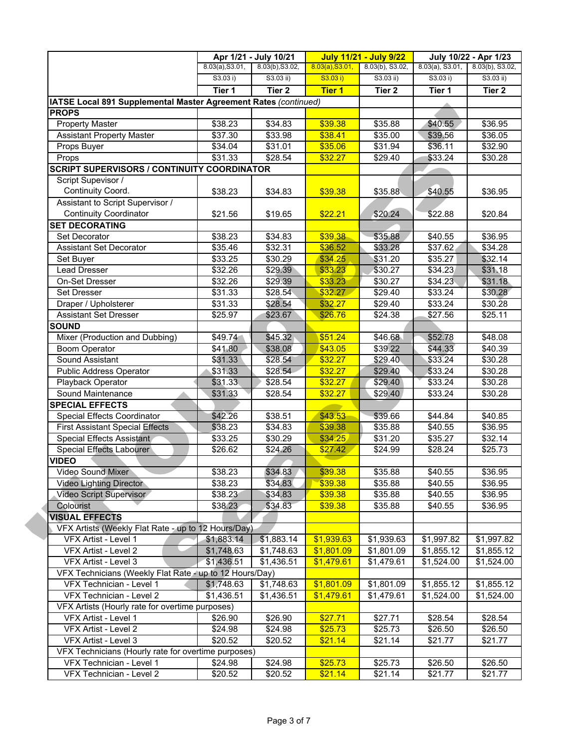|                                                                             |                          | Apr 1/21 - July 10/21 |                 | <b>July 11/21 - July 9/22</b> | July 10/22 - Apr 1/23 |                          |
|-----------------------------------------------------------------------------|--------------------------|-----------------------|-----------------|-------------------------------|-----------------------|--------------------------|
|                                                                             | 8.03(a), S3.01,          | 8.03(b), S3.02,       | 8.03(a), S3.01, | 8.03(b), S3.02,               | $8.03(a)$ , S3.01,    | 8.03(b), S3.02,          |
|                                                                             | S3.03 i)                 | S3.03 ii)             | S3.03 i)        | $S3.03$ ii)                   | S3.03 i)              | $S3.03$ ii)              |
|                                                                             | Tier 1                   | Tier 2                | <b>Tier 1</b>   | Tier 2                        | Tier 1                | Tier 2                   |
| IATSE Local 891 Supplemental Master Agreement Rates (continued)             |                          |                       |                 |                               |                       |                          |
| <b>PROPS</b>                                                                |                          |                       |                 |                               |                       |                          |
| <b>Property Master</b>                                                      | \$38.23                  | \$34.83               | \$39.38         | \$35.88                       | \$40.55               | \$36.95                  |
| <b>Assistant Property Master</b>                                            | \$37.30                  | \$33.98               | \$38.41         | \$35.00                       | \$39.56               | \$36.05                  |
| Props Buyer                                                                 | \$34.04                  | \$31.01               | \$35.06         | \$31.94                       | \$36.11               | \$32.90                  |
| Props                                                                       | \$31.33                  | \$28.54               | \$32.27         | \$29.40                       | \$33.24               | \$30.28                  |
| <b>SCRIPT SUPERVISORS / CONTINUITY COORDINATOR</b>                          |                          |                       |                 |                               |                       |                          |
| Script Supevisor /                                                          |                          |                       |                 |                               |                       |                          |
| Continuity Coord.                                                           | \$38.23                  | \$34.83               | \$39.38         | \$35.88                       | \$40.55               | \$36.95                  |
| Assistant to Script Supervisor /                                            |                          |                       |                 |                               |                       |                          |
| <b>Continuity Coordinator</b>                                               | \$21.56                  | \$19.65               | \$22.21         | \$20.24                       | \$22.88               | \$20.84                  |
| <b>SET DECORATING</b>                                                       |                          |                       |                 |                               |                       |                          |
| Set Decorator                                                               | \$38.23                  | \$34.83               | \$39.38         | \$35.88                       | \$40.55               | \$36.95                  |
| <b>Assistant Set Decorator</b>                                              | \$35.46                  | \$32.31               | \$36.52         | \$33.28                       | $\overline{$37.62}$   | \$34.28                  |
| Set Buyer                                                                   | \$33.25                  | \$30.29               | \$34.25         | \$31.20                       | \$35.27               | \$32.14                  |
| <b>Lead Dresser</b>                                                         | \$32.26                  | \$29.39               | \$33.23         | \$30.27                       | \$34.23               | \$31.18                  |
| On-Set Dresser                                                              | \$32.26                  | \$29.39               | \$33.23         | $\overline{$}30.27$           | \$34.23               | \$31.18                  |
| <b>Set Dresser</b>                                                          | \$31.33                  | \$28.54               | \$32.27         | $\overline{$}29.40$           | \$33.24               | \$30.28                  |
| Draper / Upholsterer                                                        | \$31.33                  | \$28.54               | \$32.27         | \$29.40                       | \$33.24               | \$30.28                  |
| <b>Assistant Set Dresser</b>                                                | \$25.97                  | \$23.67               | \$26.76         | \$24.38                       | \$27.56               | \$25.11                  |
| <b>SOUND</b>                                                                |                          |                       |                 |                               |                       |                          |
| Mixer (Production and Dubbing)                                              | \$49.74                  | \$45.32               | \$51.24         | \$46.68                       | \$52.78               | \$48.08                  |
| <b>Boom Operator</b>                                                        | \$41.80                  | \$38.08               | \$43.05         | \$39.22                       | \$44.33               | \$40.39                  |
| Sound Assistant                                                             | \$31.33                  | \$28.54               | \$32.27         | \$29.40                       | \$33.24               | \$30.28                  |
| <b>Public Address Operator</b>                                              | \$31.33                  | \$28.54               | \$32.27         | \$29.40                       | \$33.24               | \$30.28                  |
| Playback Operator                                                           | \$31.33                  | \$28.54               | \$32.27         | \$29.40                       | \$33.24               | \$30.28                  |
| Sound Maintenance                                                           | \$31.33                  | \$28.54               | \$32.27         | \$29.40                       | \$33.24               | \$30.28                  |
| <b>SPECIAL EFFECTS</b>                                                      |                          |                       |                 |                               |                       |                          |
| Special Effects Coordinator                                                 | \$42.26                  | \$38.51               | \$43.53         | \$39.66                       | \$44.84               | \$40.85                  |
| <b>First Assistant Special Effects</b>                                      | \$38.23                  | \$34.83               | \$39.38         | \$35.88                       | \$40.55               | \$36.95                  |
| Special Effects Assistant                                                   | \$33.25                  | \$30.29               | \$34.25         | \$31.20                       | \$35.27               | \$32.14                  |
| Special Effects Labourer                                                    | \$26.62                  | \$24.26               | \$27.42         | \$24.99                       | \$28.24               | \$25.73                  |
| <b>VIDEO</b>                                                                |                          |                       |                 |                               |                       |                          |
| Video Sound Mixer                                                           | \$38.23                  | \$34.83               | \$39.38         | \$35.88                       | \$40.55               | \$36.95                  |
| <b>Video Lighting Director</b>                                              | \$38.23                  | \$34.83               | \$39.38         | \$35.88                       | \$40.55               | \$36.95                  |
| Video Script Supervisor                                                     | \$38.23                  | \$34.83               | \$39.38         | \$35.88                       | \$40.55               |                          |
| Colourist                                                                   |                          | \$34.83               | \$39.38         |                               |                       | \$36.95                  |
| <b>VISUAL EFFECTS</b>                                                       | \$38.23                  |                       |                 | \$35.88                       | \$40.55               | \$36.95                  |
|                                                                             |                          |                       |                 |                               |                       |                          |
| VFX Artists (Weekly Flat Rate - up to 12 Hours/Day)<br>VFX Artist - Level 1 |                          | \$1,883.14            | \$1,939.63      | \$1,939.63                    | \$1,997.82            |                          |
| VFX Artist - Level 2                                                        | \$1,883.14<br>\$1,748.63 | \$1,748.63            | \$1,801.09      |                               |                       | \$1,997.82               |
|                                                                             |                          |                       |                 | \$1,801.09                    | \$1,855.12            | \$1,855.12<br>\$1,524.00 |
| VFX Artist - Level 3                                                        | \$1,436.51               | \$1,436.51            | \$1,479.61      | \$1,479.61                    | \$1,524.00            |                          |
| VFX Technicians (Weekly Flat Rate - up to 12 Hours/Day)                     |                          |                       |                 |                               |                       |                          |
| VFX Technician - Level 1                                                    | \$1,748.63               | \$1,748.63            | \$1,801.09      | \$1,801.09                    | \$1,855.12            | \$1,855.12               |
| VFX Technician - Level 2                                                    | \$1,436.51               | \$1,436.51            | \$1,479.61      | \$1,479.61                    | \$1,524.00            | \$1,524.00               |
| VFX Artists (Hourly rate for overtime purposes)                             |                          |                       |                 |                               |                       |                          |
| VFX Artist - Level 1                                                        | \$26.90                  | \$26.90               | \$27.71         | \$27.71                       | \$28.54               | \$28.54                  |
| VFX Artist - Level 2                                                        | \$24.98                  | \$24.98               | \$25.73         | \$25.73                       | \$26.50               | \$26.50                  |
| VFX Artist - Level 3                                                        | \$20.52                  | \$20.52               | \$21.14         | \$21.14                       | \$21.77               | \$21.77                  |
| VFX Technicians (Hourly rate for overtime purposes)                         |                          |                       |                 |                               |                       |                          |
| VFX Technician - Level 1                                                    | \$24.98                  | \$24.98               | \$25.73         | \$25.73                       | \$26.50               | \$26.50                  |
| VFX Technician - Level 2                                                    | \$20.52                  | \$20.52               | \$21.14         | \$21.14                       | \$21.77               | \$21.77                  |